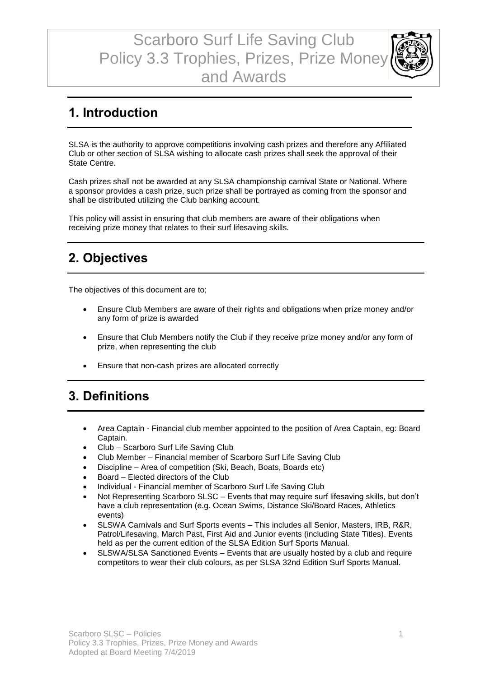Scarboro Surf Life Saving Club Policy 3.3 Trophies, Prizes, Prize Money and Awards



#### **1. Introduction**

SLSA is the authority to approve competitions involving cash prizes and therefore any Affiliated Club or other section of SLSA wishing to allocate cash prizes shall seek the approval of their State Centre.

Cash prizes shall not be awarded at any SLSA championship carnival State or National. Where a sponsor provides a cash prize, such prize shall be portrayed as coming from the sponsor and shall be distributed utilizing the Club banking account.

This policy will assist in ensuring that club members are aware of their obligations when receiving prize money that relates to their surf lifesaving skills.

# **2. Objectives**

The objectives of this document are to;

- Ensure Club Members are aware of their rights and obligations when prize money and/or any form of prize is awarded
- Ensure that Club Members notify the Club if they receive prize money and/or any form of prize, when representing the club
- Ensure that non-cash prizes are allocated correctly

# **3. Definitions**

- Area Captain Financial club member appointed to the position of Area Captain, eg: Board Captain.
- Club Scarboro Surf Life Saving Club
- Club Member Financial member of Scarboro Surf Life Saving Club
- Discipline Area of competition (Ski, Beach, Boats, Boards etc)
- Board Elected directors of the Club
- Individual Financial member of Scarboro Surf Life Saving Club
- Not Representing Scarboro SLSC Events that may require surf lifesaving skills, but don't have a club representation (e.g. Ocean Swims, Distance Ski/Board Races, Athletics events)
- SLSWA Carnivals and Surf Sports events This includes all Senior, Masters, IRB, R&R, Patrol/Lifesaving, March Past, First Aid and Junior events (including State Titles). Events held as per the current edition of the SLSA Edition Surf Sports Manual.
- SLSWA/SLSA Sanctioned Events Events that are usually hosted by a club and require competitors to wear their club colours, as per SLSA 32nd Edition Surf Sports Manual.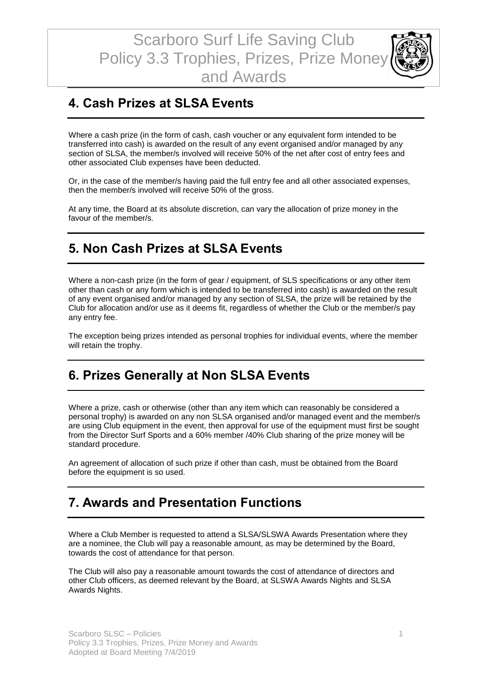

# **4. Cash Prizes at SLSA Events**

Where a cash prize (in the form of cash, cash voucher or any equivalent form intended to be transferred into cash) is awarded on the result of any event organised and/or managed by any section of SLSA, the member/s involved will receive 50% of the net after cost of entry fees and other associated Club expenses have been deducted.

Or, in the case of the member/s having paid the full entry fee and all other associated expenses, then the member/s involved will receive 50% of the gross.

At any time, the Board at its absolute discretion, can vary the allocation of prize money in the favour of the member/s.

#### **5. Non Cash Prizes at SLSA Events**

Where a non-cash prize (in the form of gear / equipment, of SLS specifications or any other item other than cash or any form which is intended to be transferred into cash) is awarded on the result of any event organised and/or managed by any section of SLSA, the prize will be retained by the Club for allocation and/or use as it deems fit, regardless of whether the Club or the member/s pay any entry fee.

The exception being prizes intended as personal trophies for individual events, where the member will retain the trophy.

### **6. Prizes Generally at Non SLSA Events**

Where a prize, cash or otherwise (other than any item which can reasonably be considered a personal trophy) is awarded on any non SLSA organised and/or managed event and the member/s are using Club equipment in the event, then approval for use of the equipment must first be sought from the Director Surf Sports and a 60% member /40% Club sharing of the prize money will be standard procedure.

An agreement of allocation of such prize if other than cash, must be obtained from the Board before the equipment is so used.

#### **7. Awards and Presentation Functions**

Where a Club Member is requested to attend a SLSA/SLSWA Awards Presentation where they are a nominee, the Club will pay a reasonable amount, as may be determined by the Board, towards the cost of attendance for that person.

The Club will also pay a reasonable amount towards the cost of attendance of directors and other Club officers, as deemed relevant by the Board, at SLSWA Awards Nights and SLSA Awards Nights.